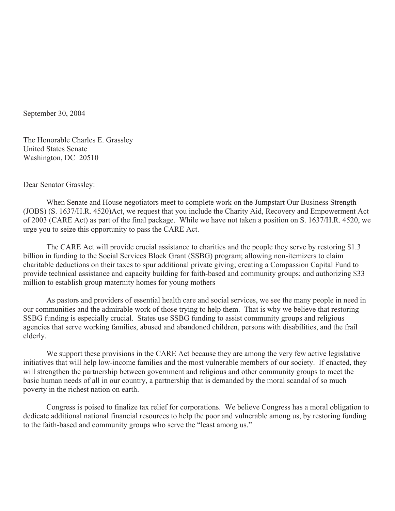September 30, 2004

The Honorable Charles E. Grassley United States Senate Washington, DC 20510

Dear Senator Grassley:

When Senate and House negotiators meet to complete work on the Jumpstart Our Business Strength (JOBS) (S. 1637/H.R. 4520)Act, we request that you include the Charity Aid, Recovery and Empowerment Act of 2003 (CARE Act) as part of the final package. While we have not taken a position on S. 1637/H.R. 4520, we urge you to seize this opportunity to pass the CARE Act.

The CARE Act will provide crucial assistance to charities and the people they serve by restoring \$1.3 billion in funding to the Social Services Block Grant (SSBG) program; allowing non-itemizers to claim charitable deductions on their taxes to spur additional private giving; creating a Compassion Capital Fund to provide technical assistance and capacity building for faith-based and community groups; and authorizing \$33 million to establish group maternity homes for young mothers

 As pastors and providers of essential health care and social services, we see the many people in need in our communities and the admirable work of those trying to help them. That is why we believe that restoring SSBG funding is especially crucial. States use SSBG funding to assist community groups and religious agencies that serve working families, abused and abandoned children, persons with disabilities, and the frail elderly.

We support these provisions in the CARE Act because they are among the very few active legislative initiatives that will help low-income families and the most vulnerable members of our society. If enacted, they will strengthen the partnership between government and religious and other community groups to meet the basic human needs of all in our country, a partnership that is demanded by the moral scandal of so much poverty in the richest nation on earth.

Congress is poised to finalize tax relief for corporations. We believe Congress has a moral obligation to dedicate additional national financial resources to help the poor and vulnerable among us, by restoring funding to the faith-based and community groups who serve the "least among us."